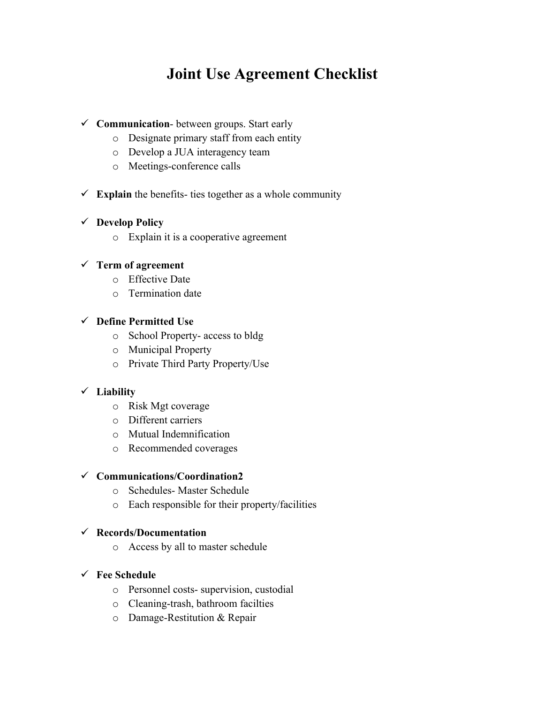# **Joint Use Agreement Checklist**

# ! **Communication**- between groups. Start early

- o Designate primary staff from each entity
- o Develop a JUA interagency team
- o Meetings-conference calls
- $\checkmark$  **Explain** the benefits- ties together as a whole community

# ! **Develop Policy**

o Explain it is a cooperative agreement

# ! **Term of agreement**

- o Effective Date
- o Termination date

# ! **Define Permitted Use**

- o School Property- access to bldg
- o Municipal Property
- o Private Third Party Property/Use

# ! **Liability**

- o Risk Mgt coverage
- o Different carriers
- o Mutual Indemnification
- o Recommended coverages

#### ! **Communications/Coordination2**

- o Schedules- Master Schedule
- o Each responsible for their property/facilities

#### ! **Records/Documentation**

o Access by all to master schedule

#### ! **Fee Schedule**

- o Personnel costs- supervision, custodial
- o Cleaning-trash, bathroom facilties
- o Damage-Restitution & Repair